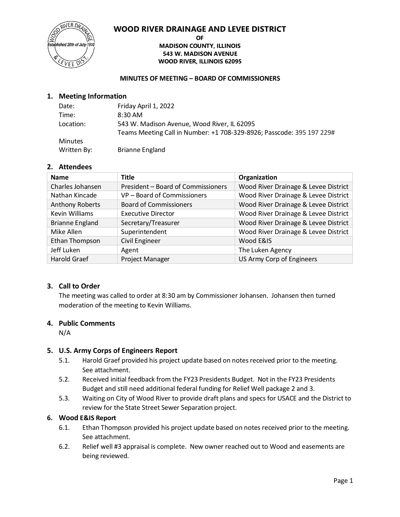#### **WOOD RIVER DRAINAGE AND LEVEE DISTRICT**



#### **OF MADISON COUNTY, ILLINOIS 543 W. MADISON AVENUE WOOD RIVER, ILLINOIS 62095**

#### **MINUTES OF MEETING – BOARD OF COMMISSIONERS**

#### **1. Meeting Information**

| Date:          | Friday April 1, 2022                                                  |
|----------------|-----------------------------------------------------------------------|
| Time:          | 8:30 AM                                                               |
| Location:      | 543 W. Madison Avenue, Wood River, IL 62095                           |
|                | Teams Meeting Call in Number: +1 708-329-8926; Passcode: 395 197 229# |
| <b>Minutes</b> |                                                                       |
| Written By:    | <b>Brianne England</b>                                                |

#### **2. Attendees**

| <b>Name</b>            | <b>Title</b>                       | Organization                         |
|------------------------|------------------------------------|--------------------------------------|
| Charles Johansen       | President - Board of Commissioners | Wood River Drainage & Levee District |
| Nathan Kincade         | VP - Board of Commissioners        | Wood River Drainage & Levee District |
| <b>Anthony Roberts</b> | <b>Board of Commissioners</b>      | Wood River Drainage & Levee District |
| <b>Kevin Williams</b>  | <b>Executive Director</b>          | Wood River Drainage & Levee District |
| <b>Brianne England</b> | Secretary/Treasurer                | Wood River Drainage & Levee District |
| Mike Allen             | Superintendent                     | Wood River Drainage & Levee District |
| Ethan Thompson         | <b>Civil Engineer</b>              | Wood E&IS                            |
| Jeff Luken             | Agent                              | The Luken Agency                     |
| <b>Harold Graef</b>    | Project Manager                    | US Army Corp of Engineers            |

#### **3. Call to Order**

The meeting was called to order at 8:30 am by Commissioner Johansen. Johansen then turned moderation of the meeting to Kevin Williams.

#### **4. Public Comments**

N/A

#### **5. U.S. Army Corps of Engineers Report**

- 5.1. Harold Graef provided his project update based on notes received prior to the meeting. See attachment.
- 5.2. Received initial feedback from the FY23 Presidents Budget. Not in the FY23 Presidents Budget and still need additional federal funding for Relief Well package 2 and 3.
- 5.3. Waiting on City of Wood River to provide draft plans and specs for USACE and the District to review for the State Street Sewer Separation project.

#### **6. Wood E&IS Report**

- 6.1. Ethan Thompson provided his project update based on notes received prior to the meeting. See attachment.
- 6.2. Relief well #3 appraisal is complete. New owner reached out to Wood and easements are being reviewed.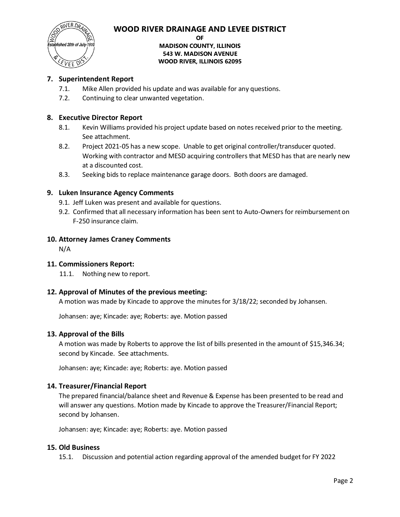

# blished 20th of July  $\epsilon$ vee

#### **OF MADISON COUNTY, ILLINOIS 543 W. MADISON AVENUE WOOD RIVER, ILLINOIS 62095**

## **7. Superintendent Report**

- 7.1. Mike Allen provided his update and was available for any questions.
- 7.2. Continuing to clear unwanted vegetation.

#### **8. Executive Director Report**

- 8.1. Kevin Williams provided his project update based on notes received prior to the meeting. See attachment.
- 8.2. Project 2021-05 has a new scope. Unable to get original controller/transducer quoted. Working with contractor and MESD acquiring controllers that MESD has that are nearly new at a discounted cost.
- 8.3. Seeking bids to replace maintenance garage doors. Both doors are damaged.

#### **9. Luken Insurance Agency Comments**

- 9.1. Jeff Luken was present and available for questions.
- 9.2. Confirmed that all necessary information has been sent to Auto-Owners for reimbursement on F-250 insurance claim.

#### **10. Attorney James Craney Comments**

N/A

#### **11. Commissioners Report:**

11.1. Nothing new to report.

#### **12. Approval of Minutes of the previous meeting:**

A motion was made by Kincade to approve the minutes for 3/18/22; seconded by Johansen.

Johansen: aye; Kincade: aye; Roberts: aye. Motion passed

#### **13. Approval of the Bills**

A motion was made by Roberts to approve the list of bills presented in the amount of \$15,346.34; second by Kincade. See attachments.

Johansen: aye; Kincade: aye; Roberts: aye. Motion passed

### **14. Treasurer/Financial Report**

The prepared financial/balance sheet and Revenue & Expense has been presented to be read and will answer any questions. Motion made by Kincade to approve the Treasurer/Financial Report; second by Johansen.

Johansen: aye; Kincade: aye; Roberts: aye. Motion passed

#### **15. Old Business**

15.1. Discussion and potential action regarding approval of the amended budget for FY 2022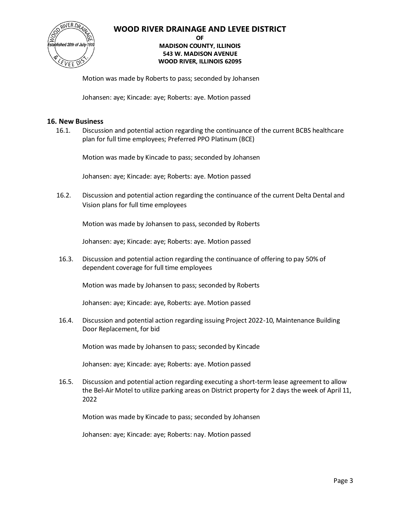#### **WOOD RIVER DRAINAGE AND LEVEE DISTRICT**



#### **OF MADISON COUNTY, ILLINOIS 543 W. MADISON AVENUE WOOD RIVER, ILLINOIS 62095**

Motion was made by Roberts to pass; seconded by Johansen

Johansen: aye; Kincade: aye; Roberts: aye. Motion passed

#### **16. New Business**

16.1. Discussion and potential action regarding the continuance of the current BCBS healthcare plan for full time employees; Preferred PPO Platinum (BCE)

Motion was made by Kincade to pass; seconded by Johansen

Johansen: aye; Kincade: aye; Roberts: aye. Motion passed

16.2. Discussion and potential action regarding the continuance of the current Delta Dental and Vision plans for full time employees

Motion was made by Johansen to pass, seconded by Roberts

Johansen: aye; Kincade: aye; Roberts: aye. Motion passed

16.3. Discussion and potential action regarding the continuance of offering to pay 50% of dependent coverage for full time employees

Motion was made by Johansen to pass; seconded by Roberts

Johansen: aye; Kincade: aye, Roberts: aye. Motion passed

16.4. Discussion and potential action regarding issuing Project 2022-10, Maintenance Building Door Replacement, for bid

Motion was made by Johansen to pass; seconded by Kincade

Johansen: aye; Kincade: aye; Roberts: aye. Motion passed

16.5. Discussion and potential action regarding executing a short-term lease agreement to allow the Bel-Air Motel to utilize parking areas on District property for 2 days the week of April 11, 2022

Motion was made by Kincade to pass; seconded by Johansen

Johansen: aye; Kincade: aye; Roberts: nay. Motion passed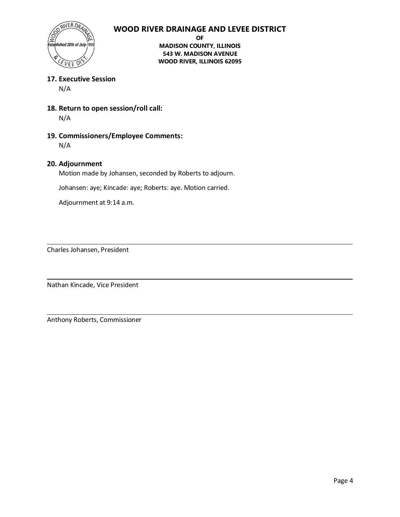## **WOOD RIVER DRAINAGE AND LEVEE DISTRICT**



**OF MADISON COUNTY, ILLINOIS 543 W. MADISON AVENUE WOOD RIVER, ILLINOIS 62095**

#### **17. Executive Session**

N/A

**18. Return to open session/roll call:**

N/A

**19. Commissioners/Employee Comments:** N/A

#### **20. Adjournment**

Motion made by Johansen, seconded by Roberts to adjourn.

Johansen: aye; Kincade: aye; Roberts: aye. Motion carried.

Adjournment at 9:14 a.m.

Charles Johansen, President

Nathan Kincade, Vice President

Anthony Roberts, Commissioner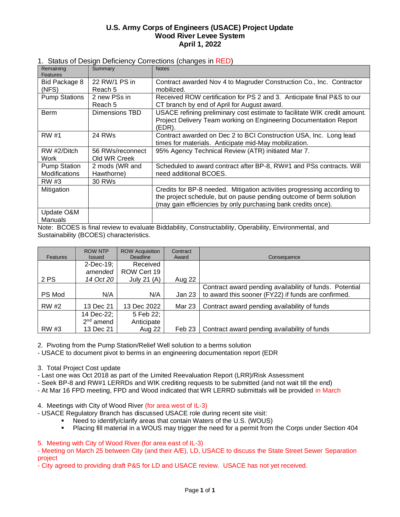#### **U.S. Army Corps of Engineers (USACE) Project Update Wood River Levee System April 1, 2022**

| 1. Status of Design Deficiency Corrections (changes in RED) |  |  |  |  |  |
|-------------------------------------------------------------|--|--|--|--|--|
|-------------------------------------------------------------|--|--|--|--|--|

| Remaining<br>Features                       | Summary                          | <b>Notes</b>                                                                                                                                                                                                    |
|---------------------------------------------|----------------------------------|-----------------------------------------------------------------------------------------------------------------------------------------------------------------------------------------------------------------|
| Bid Package 8                               | 22 RW/1 PS in                    | Contract awarded Nov 4 to Magruder Construction Co., Inc. Contractor                                                                                                                                            |
| (NFS)                                       | Reach 5                          | mobilized.                                                                                                                                                                                                      |
| <b>Pump Stations</b>                        | 2 new PSs in<br>Reach 5          | Received ROW certification for PS 2 and 3. Anticipate final P&S to our<br>CT branch by end of April for August award.                                                                                           |
| <b>Berm</b>                                 | Dimensions TBD                   | USACE refining preliminary cost estimate to facilitate WIK credit amount.<br>Project Delivery Team working on Engineering Documentation Report<br>(EDR).                                                        |
| <b>RW</b> #1                                | 24 RWs                           | Contract awarded on Dec 2 to BCI Construction USA, Inc. Long lead<br>times for materials. Anticipate mid-May mobilization.                                                                                      |
| RW #2/Ditch<br>Work                         | 56 RWs/reconnect<br>Old WR Creek | 95% Agency Technical Review (ATR) initiated Mar 7.                                                                                                                                                              |
| <b>Pump Station</b><br><b>Modifications</b> | 2 mods (WR and<br>Hawthorne)     | Scheduled to award contract after BP-8, RW#1 and PSs contracts. Will<br>need additional BCOES.                                                                                                                  |
| RW #3                                       | <b>30 RWs</b>                    |                                                                                                                                                                                                                 |
| Mitigation                                  |                                  | Credits for BP-8 needed. Mitigation activities progressing according to<br>the project schedule, but on pause pending outcome of berm solution<br>(may gain efficiencies by only purchasing bank credits once). |
| Update O&M<br>Manuals                       |                                  |                                                                                                                                                                                                                 |
|                                             |                                  | $\mathbf{r}$ , and $\mathbf{r}$ are a set of $\mathbf{r}$<br>$\sim$ $\sim$ $\sim$                                                                                                                               |

Note: BCOES is final review to evaluate Biddability, Constructability, Operability, Environmental, and Sustainability (BCOES) characteristics.

| <b>Features</b> | <b>ROW NTP</b><br><b>Issued</b> | <b>ROW Acquisition</b><br>Deadline | Contract<br>Award | Consequence                                             |
|-----------------|---------------------------------|------------------------------------|-------------------|---------------------------------------------------------|
|                 | 2-Dec-19;                       | Received                           |                   |                                                         |
|                 | amended                         | ROW Cert 19                        |                   |                                                         |
| 2 PS            | 14 Oct 20                       | July 21 $(A)$                      | Aug 22            |                                                         |
|                 |                                 |                                    |                   | Contract award pending availability of funds. Potential |
| PS Mod          | N/A                             | N/A                                | Jan 23            | to award this sooner (FY22) if funds are confirmed.     |
| RW #2           | 13 Dec 21                       | 13 Dec 2022                        | Mar 23            | Contract award pending availability of funds            |
|                 | 14 Dec-22;                      | 5 Feb 22;                          |                   |                                                         |
|                 | $2nd$ amend                     | Anticipate                         |                   |                                                         |
| RW #3           | 13 Dec 21                       | Aug 22                             | Feb 23            | Contract award pending availability of funds            |

2. Pivoting from the Pump Station/Relief Well solution to a berms solution

- USACE to document pivot to berms in an engineering documentation report (EDR

3. Total Project Cost update

- Last one was Oct 2018 as part of the Limited Reevaluation Report (LRR)/Risk Assessment

- Seek BP-8 and RW#1 LERRDs and WIK crediting requests to be submitted (and not wait till the end)

- At Mar 16 FPD meeting, FPD and Wood indicated that WR LERRD submittals will be provided in March

4. Meetings with City of Wood River (for area west of IL-3)

- USACE Regulatory Branch has discussed USACE role during recent site visit:

- Need to identify/clarify areas that contain Waters of the U.S. (WOUS)<br>■ Placing fill material in a WOUS may trigger the need for a permit from
- Placing fill material in a WOUS may trigger the need for a permit from the Corps under Section 404

5. Meeting with City of Wood River (for area east of IL-3)

- Meeting on March 25 between City (and their A/E), LD, USACE to discuss the State Street Sewer Separation project

- City agreed to providing draft P&S for LD and USACE review. USACE has not yet received.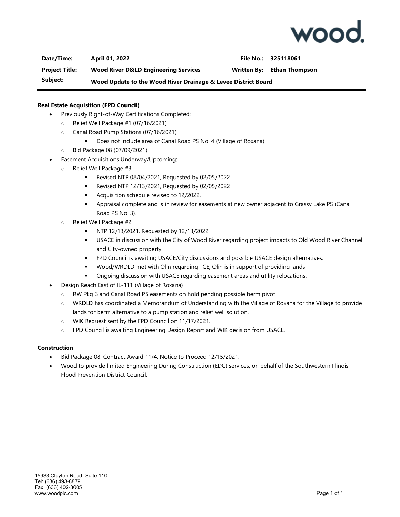

**Date/Time: April 01, 2022 File No.: 325118061**

**Project Title: Wood River D&LD Engineering Services Written By: Ethan Thompson**

**Subject: Wood Update to the Wood River Drainage & Levee District Board**

#### **Real Estate Acquisition (FPD Council)**

- Previously Right-of-Way Certifications Completed:
	- o Relief Well Package #1 (07/16/2021)
	- o Canal Road Pump Stations (07/16/2021)
		- Does not include area of Canal Road PS No. 4 (Village of Roxana)
	- o Bid Package 08 (07/09/2021)
- Easement Acquisitions Underway/Upcoming:
	- o Relief Well Package #3
		- Revised NTP 08/04/2021, Requested by 02/05/2022
		- Revised NTP 12/13/2021, Requested by 02/05/2022
		- Acquisition schedule revised to 12/2022.
		- Appraisal complete and is in review for easements at new owner adjacent to Grassy Lake PS (Canal Road PS No. 3).
	- o Relief Well Package #2
		- NTP 12/13/2021, Requested by 12/13/2022
		- USACE in discussion with the City of Wood River regarding project impacts to Old Wood River Channel and City-owned property.
		- FPD Council is awaiting USACE/City discussions and possible USACE design alternatives.
		- Wood/WRDLD met with Olin regarding TCE; Olin is in support of providing lands
		- Ongoing discussion with USACE regarding easement areas and utility relocations.
- Design Reach East of IL-111 (Village of Roxana)
	- o RW Pkg 3 and Canal Road PS easements on hold pending possible berm pivot.
	- $\circ$  WRDLD has coordinated a Memorandum of Understanding with the Village of Roxana for the Village to provide lands for berm alternative to a pump station and relief well solution.
	- o WIK Request sent by the FPD Council on 11/17/2021.
	- o FPD Council is awaiting Engineering Design Report and WIK decision from USACE.

#### **Construction**

- Bid Package 08: Contract Award 11/4. Notice to Proceed 12/15/2021.
- Wood to provide limited Engineering During Construction (EDC) services, on behalf of the Southwestern Illinois Flood Prevention District Council.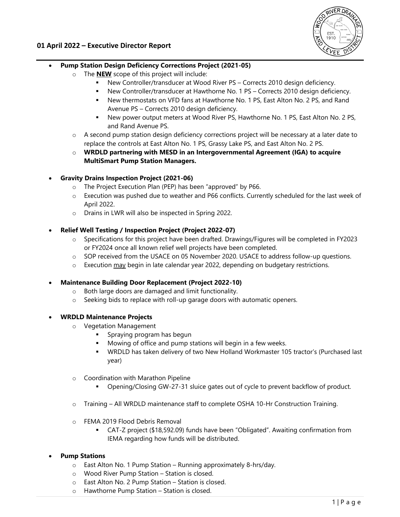

#### **01 April 2022 – Executive Director Report**

#### **Pump Station Design Deficiency Corrections Project (2021-05)**

- o The **NEW** scope of this project will include:
	- New Controller/transducer at Wood River PS Corrects 2010 design deficiency.
	- New Controller/transducer at Hawthorne No. 1 PS Corrects 2010 design deficiency.
	- New thermostats on VFD fans at Hawthorne No. 1 PS, East Alton No. 2 PS, and Rand Avenue PS – Corrects 2010 design deficiency.
	- New power output meters at Wood River PS, Hawthorne No. 1 PS, East Alton No. 2 PS, and Rand Avenue PS.
- o A second pump station design deficiency corrections project will be necessary at a later date to replace the controls at East Alton No. 1 PS, Grassy Lake PS, and East Alton No. 2 PS.
- o **WRDLD partnering with MESD in an Intergovernmental Agreement (IGA) to acquire MultiSmart Pump Station Managers.**
- **Gravity Drains Inspection Project (2021-06)**
	- o The Project Execution Plan (PEP) has been "approved" by P66.
	- o Execution was pushed due to weather and P66 conflicts. Currently scheduled for the last week of April 2022.
	- o Drains in LWR will also be inspected in Spring 2022.
- **Relief Well Testing / Inspection Project (Project 2022-07)** 
	- o Specifications for this project have been drafted. Drawings/Figures will be completed in FY2023 or FY2024 once all known relief well projects have been completed.
	- o SOP received from the USACE on 05 November 2020. USACE to address follow-up questions.
	- $\circ$  Execution  $\frac{\text{may}}{\text{begin}}$  begin in late calendar year 2022, depending on budgetary restrictions.

#### **Maintenance Building Door Replacement (Project 2022-10)**

- o Both large doors are damaged and limit functionality.
- o Seeking bids to replace with roll-up garage doors with automatic openers.
- **WRDLD Maintenance Projects** 
	- o Vegetation Management
		- Spraying program has begun
		- Mowing of office and pump stations will begin in a few weeks.
		- WRDLD has taken delivery of two New Holland Workmaster 105 tractor's (Purchased last year)
	- o Coordination with Marathon Pipeline
		- Opening/Closing GW-27-31 sluice gates out of cycle to prevent backflow of product.
	- o Training All WRDLD maintenance staff to complete OSHA 10-Hr Construction Training.
	- o FEMA 2019 Flood Debris Removal
		- CAT-Z project (\$18,592.09) funds have been "Obligated". Awaiting confirmation from IEMA regarding how funds will be distributed.

#### **Pump Stations**

- $\circ$  East Alton No. 1 Pump Station Running approximately 8-hrs/day.
- o Wood River Pump Station Station is closed.
- o East Alton No. 2 Pump Station Station is closed.
- o Hawthorne Pump Station Station is closed.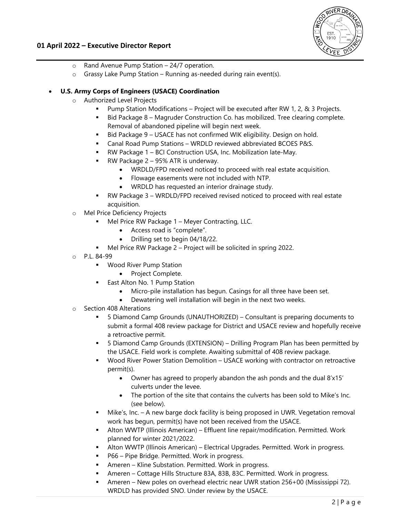

#### **01 April 2022 – Executive Director Report**

- o Rand Avenue Pump Station 24/7 operation.
- $\circ$  Grassy Lake Pump Station Running as-needed during rain event(s).

#### **U.S. Army Corps of Engineers (USACE) Coordination**

- o Authorized Level Projects
	- Pump Station Modifications Project will be executed after RW 1, 2, & 3 Projects.
	- Bid Package 8 Magruder Construction Co. has mobilized. Tree clearing complete. Removal of abandoned pipeline will begin next week.
	- Bid Package 9 USACE has not confirmed WIK eligibility. Design on hold.
	- Canal Road Pump Stations WRDLD reviewed abbreviated BCOES P&S.
	- RW Package 1 BCI Construction USA, Inc. Mobilization late-May.
	- RW Package 2 95% ATR is underway.
		- WRDLD/FPD received noticed to proceed with real estate acquisition.
		- Flowage easements were not included with NTP.
		- WRDLD has requested an interior drainage study.
	- RW Package 3 WRDLD/FPD received revised noticed to proceed with real estate acquisition.
- o Mel Price Deficiency Projects
	- Mel Price RW Package 1 Meyer Contracting, LLC.
		- Access road is "complete".
		- Drilling set to begin 04/18/22.
	- Mel Price RW Package 2 Project will be solicited in spring 2022.
- o P.L. 84-99
	- **Wood River Pump Station** 
		- Project Complete.
	- East Alton No. 1 Pump Station
		- Micro-pile installation has begun. Casings for all three have been set.
		- Dewatering well installation will begin in the next two weeks.
- o Section 408 Alterations
	- 5 Diamond Camp Grounds (UNAUTHORIZED) Consultant is preparing documents to submit a formal 408 review package for District and USACE review and hopefully receive a retroactive permit.
	- 5 Diamond Camp Grounds (EXTENSION) Drilling Program Plan has been permitted by the USACE. Field work is complete. Awaiting submittal of 408 review package.
	- Wood River Power Station Demolition USACE working with contractor on retroactive permit(s).
		- Owner has agreed to properly abandon the ash ponds and the dual 8'x15' culverts under the levee.
		- The portion of the site that contains the culverts has been sold to Mike's Inc. (see below).
	- Mike's, Inc. A new barge dock facility is being proposed in UWR. Vegetation removal work has begun, permit(s) have not been received from the USACE.
	- Alton WWTP (Illinois American) Effluent line repair/modification. Permitted. Work planned for winter 2021/2022.
	- Alton WWTP (Illinois American) Electrical Upgrades. Permitted. Work in progress.
	- P66 Pipe Bridge. Permitted. Work in progress.
	- Ameren Kline Substation. Permitted. Work in progress.
	- Ameren Cottage Hills Structure 83A, 83B, 83C. Permitted. Work in progress.
	- Ameren New poles on overhead electric near UWR station 256+00 (Mississippi 72). WRDLD has provided SNO. Under review by the USACE.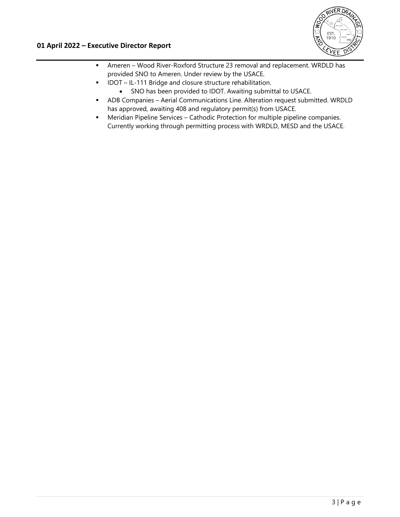

- Ameren Wood River-Roxford Structure 23 removal and replacement. WRDLD has provided SNO to Ameren. Under review by the USACE.
- **IDOT** IL-111 Bridge and closure structure rehabilitation.
	- SNO has been provided to IDOT. Awaiting submittal to USACE.
- ADB Companies Aerial Communications Line. Alteration request submitted. WRDLD has approved, awaiting 408 and regulatory permit(s) from USACE.
- **•** Meridian Pipeline Services Cathodic Protection for multiple pipeline companies. Currently working through permitting process with WRDLD, MESD and the USACE.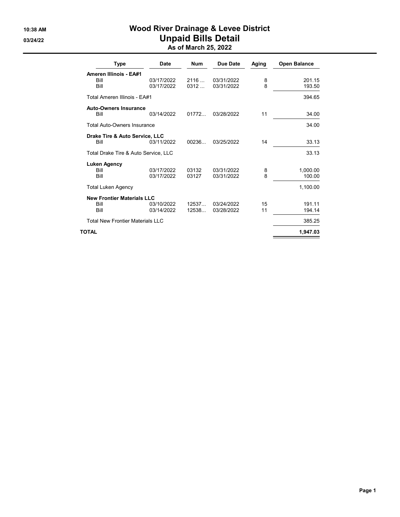# 10:38 AM Wood River Drainage & Levee District 03/24/22 **Unpaid Bills Detail** As of March 25, 2022

| Type                                                 | Date                     | <b>Num</b>     | Due Date                 | Aging    | <b>Open Balance</b> |
|------------------------------------------------------|--------------------------|----------------|--------------------------|----------|---------------------|
| <b>Ameren Illinois - EA#1</b><br><b>Bill</b><br>Bill | 03/17/2022<br>03/17/2022 | 2116<br>0312   | 03/31/2022<br>03/31/2022 | 8<br>8   | 201.15<br>193.50    |
| Total Ameren Illinois - EA#1                         |                          |                |                          |          | 394.65              |
| <b>Auto-Owners Insurance</b><br>Bill                 | 03/14/2022               | 01772          | 03/28/2022               | 11       | 34.00               |
| <b>Total Auto-Owners Insurance</b>                   |                          |                |                          |          | 34.00               |
| Drake Tire & Auto Service, LLC<br>Bill               | 03/11/2022               | 00236          | 03/25/2022               | 14       | 33.13               |
| Total Drake Tire & Auto Service, LLC                 |                          |                |                          |          | 33.13               |
| <b>Luken Agency</b><br>Bill<br>Bill                  | 03/17/2022<br>03/17/2022 | 03132<br>03127 | 03/31/2022<br>03/31/2022 | 8<br>8   | 1,000.00<br>100.00  |
| <b>Total Luken Agency</b>                            |                          |                |                          |          | 1,100.00            |
| <b>New Frontier Materials LLC</b><br>Bill<br>Bill    | 03/10/2022<br>03/14/2022 | 12537<br>12538 | 03/24/2022<br>03/28/2022 | 15<br>11 | 191.11<br>194.14    |
| <b>Total New Frontier Materials LLC</b>              |                          |                |                          |          | 385.25              |
| TOTAL                                                |                          |                |                          |          | 1.947.03            |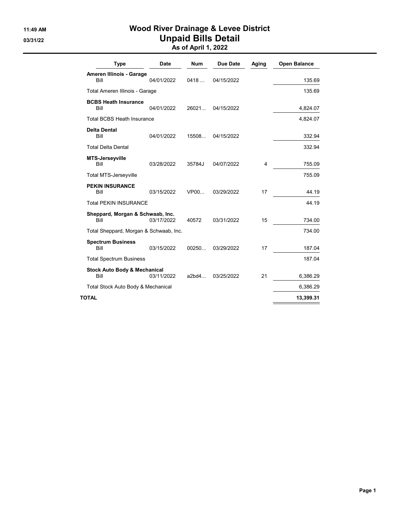# 11:49 AM **Wood River Drainage & Levee District** 03/31/22 **Unpaid Bills Detail**

As of April 1, 2022

| <b>Type</b>                                     | <b>Date</b> | <b>Num</b> | Due Date   | Aging                   | <b>Open Balance</b> |
|-------------------------------------------------|-------------|------------|------------|-------------------------|---------------------|
| Ameren Illinois - Garage<br>Bill                | 04/01/2022  | 0418       | 04/15/2022 |                         | 135.69              |
| Total Ameren Illinois - Garage                  |             |            |            |                         | 135.69              |
| <b>BCBS Heath Insurance</b><br><b>Bill</b>      | 04/01/2022  | 26021      | 04/15/2022 |                         | 4,824.07            |
| <b>Total BCBS Heath Insurance</b>               |             |            |            |                         | 4,824.07            |
| <b>Delta Dental</b><br>Bill                     | 04/01/2022  | 15508      | 04/15/2022 |                         | 332.94              |
| <b>Total Delta Dental</b>                       |             |            |            |                         | 332.94              |
| <b>MTS-Jerseyville</b><br>Bill                  | 03/28/2022  | 35784J     | 04/07/2022 | $\overline{\mathbf{4}}$ | 755.09              |
| <b>Total MTS-Jerseyville</b>                    |             |            |            |                         | 755.09              |
| <b>PEKIN INSURANCE</b><br><b>Bill</b>           | 03/15/2022  | VP00       | 03/29/2022 | 17                      | 44.19               |
| <b>Total PEKIN INSURANCE</b>                    |             |            |            |                         | 44.19               |
| Sheppard, Morgan & Schwaab, Inc.<br>Bill        | 03/17/2022  | 40572      | 03/31/2022 | 15                      | 734.00              |
| Total Sheppard, Morgan & Schwaab, Inc.          |             |            |            |                         | 734.00              |
| <b>Spectrum Business</b><br>Bill                | 03/15/2022  | 00250      | 03/29/2022 | 17                      | 187.04              |
| <b>Total Spectrum Business</b>                  |             |            |            |                         | 187.04              |
| <b>Stock Auto Body &amp; Mechanical</b><br>Bill | 03/11/2022  | a2bd4      | 03/25/2022 | 21                      | 6,386.29            |
| Total Stock Auto Body & Mechanical              |             |            |            |                         | 6,386.29            |
| TOTAL                                           |             |            |            |                         | 13,399.31           |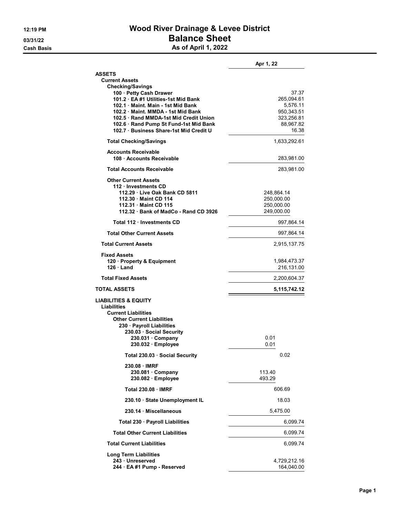# 12:19 PM Wood River Drainage & Levee District 03/31/22 **Balance Sheet** Cash Basis **As of April 1, 2022**

|                                                                                                                                                                                                                                                                  | Apr 1, 22                                                                         |
|------------------------------------------------------------------------------------------------------------------------------------------------------------------------------------------------------------------------------------------------------------------|-----------------------------------------------------------------------------------|
| <b>ASSETS</b><br><b>Current Assets</b><br><b>Checking/Savings</b>                                                                                                                                                                                                |                                                                                   |
| 100 · Petty Cash Drawer<br>101.2 EA #1 Utilities-1st Mid Bank<br>102.1 Maint, Main - 1st Mid Bank<br>102.2 Maint, MMDA - 1st Mid Bank<br>102.5 Rand MMDA-1st Mid Credit Union<br>102.6 · Rand Pump St Fund-1st Mid Bank<br>102.7 Business Share-1st Mid Credit U | 37.37<br>265,094.61<br>5.576.11<br>950,343.51<br>323,256.81<br>88,967.82<br>16.38 |
| <b>Total Checking/Savings</b>                                                                                                                                                                                                                                    | 1,633,292.61                                                                      |
| <b>Accounts Receivable</b><br>108 · Accounts Receivable                                                                                                                                                                                                          | 283,981.00                                                                        |
| <b>Total Accounts Receivable</b>                                                                                                                                                                                                                                 | 283,981.00                                                                        |
| <b>Other Current Assets</b><br>112 · Investments CD<br>112.29 Live Oak Bank CD 5811<br>112.30 Maint CD 114<br>112.31 Maint CD 115<br>112.32 Bank of MadCo - Rand CD 3926                                                                                         | 248,864.14<br>250,000.00<br>250,000.00<br>249,000.00                              |
| Total 112 · Investments CD                                                                                                                                                                                                                                       | 997,864.14                                                                        |
| <b>Total Other Current Assets</b>                                                                                                                                                                                                                                | 997,864.14                                                                        |
| <b>Total Current Assets</b>                                                                                                                                                                                                                                      | 2,915,137.75                                                                      |
| Fixed Assets<br>120 · Property & Equipment<br>$126 \cdot$ Land                                                                                                                                                                                                   | 1,984,473.37<br>216,131.00                                                        |
| <b>Total Fixed Assets</b>                                                                                                                                                                                                                                        | 2,200,604.37                                                                      |
| <b>TOTAL ASSETS</b>                                                                                                                                                                                                                                              | 5,115,742.12                                                                      |
| <b>LIABILITIES &amp; EQUITY</b><br>Liabilities<br><b>Current Liabilities</b><br><b>Other Current Liabilities</b><br>230 · Payroll Liabilities<br>230.03 Social Security<br>230.031 Company<br>230.032 · Employee                                                 | 0.01<br>0.01                                                                      |
| Total 230.03 Social Security                                                                                                                                                                                                                                     | 0.02                                                                              |
| 230.08 IMRF<br>230.081 Company<br>230.082 · Employee                                                                                                                                                                                                             | 113.40<br>493.29                                                                  |
| <b>Total 230.08 IMRF</b>                                                                                                                                                                                                                                         | 606.69                                                                            |
| 230.10 · State Unemployment IL                                                                                                                                                                                                                                   | 18.03                                                                             |
| 230.14 · Miscellaneous                                                                                                                                                                                                                                           | 5,475.00                                                                          |
| Total 230 · Payroll Liabilities                                                                                                                                                                                                                                  | 6,099.74                                                                          |
| <b>Total Other Current Liabilities</b>                                                                                                                                                                                                                           | 6,099.74                                                                          |
| <b>Total Current Liabilities</b>                                                                                                                                                                                                                                 | 6,099.74                                                                          |
| <b>Long Term Liabilities</b><br>243 · Unreserved<br>244 · EA #1 Pump - Reserved                                                                                                                                                                                  | 4,729,212.16<br>164,040.00                                                        |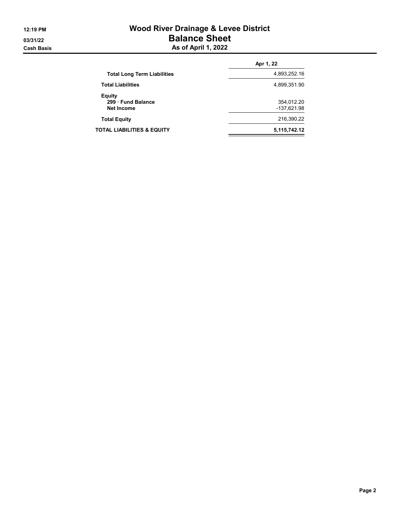# 12:19 PM Wood River Drainage & Levee District 03/31/22 **Balance Sheet** Cash Basis **As of April 1, 2022**

|                                                        | Apr 1, 22                 |
|--------------------------------------------------------|---------------------------|
| <b>Total Long Term Liabilities</b>                     | 4,893,252.16              |
| <b>Total Liabilities</b>                               | 4,899,351.90              |
| <b>Equity</b><br>299 Fund Balance<br><b>Net Income</b> | 354,012.20<br>-137,621.98 |
| <b>Total Equity</b>                                    | 216,390.22                |
| TOTAL LIABILITIES & EQUITY                             | 5,115,742.12              |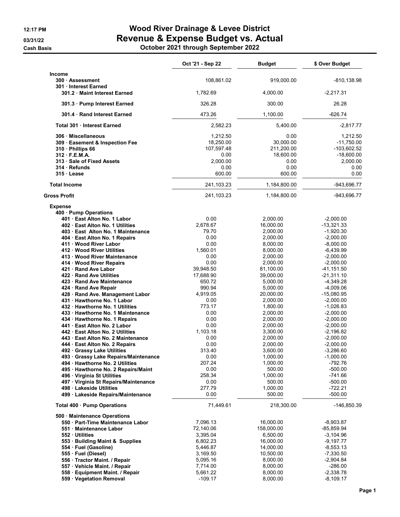**Cash Basis** 

# 12:17 PM **Wood River Drainage & Levee District** 03/31/22 Revenue & Expense Budget vs. Actual

|  | October 2021 through September 2022 |  |
|--|-------------------------------------|--|
|--|-------------------------------------|--|

|                                                                                                                                                                                                                                                                                                                                                                                                                                                                                                                                                                                                                                                                                                                                                                                                                                                                                             | Oct '21 - Sep 22                                                                                                                                                                                                                                    | <b>Budget</b>                                                                                                                                                                                                                                                                                                          | \$ Over Budget                                                                                                                                                                                                                                                                                                                                                                                  |
|---------------------------------------------------------------------------------------------------------------------------------------------------------------------------------------------------------------------------------------------------------------------------------------------------------------------------------------------------------------------------------------------------------------------------------------------------------------------------------------------------------------------------------------------------------------------------------------------------------------------------------------------------------------------------------------------------------------------------------------------------------------------------------------------------------------------------------------------------------------------------------------------|-----------------------------------------------------------------------------------------------------------------------------------------------------------------------------------------------------------------------------------------------------|------------------------------------------------------------------------------------------------------------------------------------------------------------------------------------------------------------------------------------------------------------------------------------------------------------------------|-------------------------------------------------------------------------------------------------------------------------------------------------------------------------------------------------------------------------------------------------------------------------------------------------------------------------------------------------------------------------------------------------|
| Income<br>300 Assessment<br>301 Interest Earned                                                                                                                                                                                                                                                                                                                                                                                                                                                                                                                                                                                                                                                                                                                                                                                                                                             | 108,861.02                                                                                                                                                                                                                                          | 919,000.00                                                                                                                                                                                                                                                                                                             | $-810, 138.98$                                                                                                                                                                                                                                                                                                                                                                                  |
| 301.2 Maint Interest Earned                                                                                                                                                                                                                                                                                                                                                                                                                                                                                                                                                                                                                                                                                                                                                                                                                                                                 | 1,782.69                                                                                                                                                                                                                                            | 4,000.00                                                                                                                                                                                                                                                                                                               | $-2,217.31$                                                                                                                                                                                                                                                                                                                                                                                     |
| 301.3 · Pump Interest Earned                                                                                                                                                                                                                                                                                                                                                                                                                                                                                                                                                                                                                                                                                                                                                                                                                                                                | 326.28                                                                                                                                                                                                                                              | 300.00                                                                                                                                                                                                                                                                                                                 | 26.28                                                                                                                                                                                                                                                                                                                                                                                           |
| 301.4 Rand Interest Earned                                                                                                                                                                                                                                                                                                                                                                                                                                                                                                                                                                                                                                                                                                                                                                                                                                                                  | 473.26                                                                                                                                                                                                                                              | 1,100.00                                                                                                                                                                                                                                                                                                               | $-626.74$                                                                                                                                                                                                                                                                                                                                                                                       |
| Total 301 Interest Earned                                                                                                                                                                                                                                                                                                                                                                                                                                                                                                                                                                                                                                                                                                                                                                                                                                                                   | 2,582.23                                                                                                                                                                                                                                            | 5,400.00                                                                                                                                                                                                                                                                                                               | $-2,817.77$                                                                                                                                                                                                                                                                                                                                                                                     |
| 306 Miscellaneous<br>309 Easement & Inspection Fee<br>310 - Phillips 66<br>312 F.E.M.A.<br>313 · Sale of Fixed Assets<br>314 Refunds<br>315 Lease                                                                                                                                                                                                                                                                                                                                                                                                                                                                                                                                                                                                                                                                                                                                           | 1,212.50<br>18,250.00<br>107,597.48<br>0.00<br>2,000.00<br>0.00<br>600.00                                                                                                                                                                           | 0.00<br>30,000.00<br>211,200.00<br>18,600.00<br>0.00<br>0.00<br>600.00                                                                                                                                                                                                                                                 | 1,212.50<br>$-11,750.00$<br>$-103,602.52$<br>$-18,600.00$<br>2,000.00<br>0.00<br>0.00                                                                                                                                                                                                                                                                                                           |
| <b>Total Income</b>                                                                                                                                                                                                                                                                                                                                                                                                                                                                                                                                                                                                                                                                                                                                                                                                                                                                         | 241,103.23                                                                                                                                                                                                                                          | 1,184,800.00                                                                                                                                                                                                                                                                                                           | -943,696.77                                                                                                                                                                                                                                                                                                                                                                                     |
| <b>Gross Profit</b>                                                                                                                                                                                                                                                                                                                                                                                                                                                                                                                                                                                                                                                                                                                                                                                                                                                                         | 241,103.23                                                                                                                                                                                                                                          | 1,184,800.00                                                                                                                                                                                                                                                                                                           | -943,696.77                                                                                                                                                                                                                                                                                                                                                                                     |
| <b>Expense</b><br>400 Pump Operations<br>401 East Alton No. 1 Labor<br>402 East Alton No. 1 Utilities<br>403 · East Alton No. 1 Maintenance<br>404 · East Alton No. 1 Repairs<br>411 Wood River Labor<br>412 Wood River Utilities<br>413 Wood River Maintenance<br>414 Wood River Repairs<br>421 Rand Ave Labor<br>422 Rand Ave Utilities<br>423 Rand Ave Maintenance<br>424 · Rand Ave Repair<br>428 · Rand Ave. Management Labor<br>431 Hawthorne No. 1 Labor<br>432 Hawthorne No. 1 Utilities<br>433 · Hawthorne No. 1 Maintenance<br>434 · Hawthorne No. 1 Repairs<br>441 East Alton No. 2 Labor<br>442 East Alton No. 2 Utilities<br>443 East Alton No. 2 Maintenance<br>444 · East Alton No. 2 Repairs<br>492 Grassy Lake Utilities<br>493 · Grassy Lake Repairs/Maintenance<br>494 · Hawthorne No. 2 Utilities<br>495 · Hawthorne No. 2 Repairs/Maint<br>496 · Virginia St Utilities | 0.00<br>2,678.67<br>79.70<br>0.00<br>0.00<br>1,560.01<br>0.00<br>0.00<br>39,948.50<br>17,688.90<br>650.72<br>990.94<br>4,919.05<br>0.00<br>773.17<br>0.00<br>0.00<br>0.00<br>1,103.18<br>0.00<br>0.00<br>313.40<br>0.00<br>207.24<br>0.00<br>258.34 | 2.000.00<br>16,000.00<br>2,000.00<br>2.000.00<br>8,000.00<br>8,000.00<br>2,000.00<br>2,000.00<br>81,100.00<br>39,000.00<br>5,000.00<br>5,000.00<br>20,000.00<br>2,000.00<br>1,800.00<br>2,000.00<br>2,000.00<br>2,000.00<br>3.300.00<br>2,000.00<br>2,000.00<br>3,600.00<br>1,000.00<br>1,000.00<br>500.00<br>1,000.00 | $-2,000.00$<br>$-13,321.33$<br>$-1,920.30$<br>$-2.000.00$<br>$-8,000.00$<br>$-6,439.99$<br>$-2,000.00$<br>$-2,000.00$<br>$-41, 151.50$<br>$-21,311.10$<br>$-4,349.28$<br>$-4,009.06$<br>$-15,080.95$<br>$-2,000.00$<br>$-1,026.83$<br>$-2,000.00$<br>$-2,000.00$<br>$-2,000.00$<br>$-2.196.82$<br>$-2,000.00$<br>$-2,000.00$<br>$-3,286.60$<br>$-1,000.00$<br>$-792.76$<br>$-500.00$<br>-741.66 |
| 497 · Virginia St Repairs/Maintenance                                                                                                                                                                                                                                                                                                                                                                                                                                                                                                                                                                                                                                                                                                                                                                                                                                                       | 0.00<br>277.79                                                                                                                                                                                                                                      | 500.00<br>1,000.00                                                                                                                                                                                                                                                                                                     | $-500.00$<br>$-722.21$                                                                                                                                                                                                                                                                                                                                                                          |
| 498 Lakeside Utilities<br>499 Lakeside Repairs/Maintenance                                                                                                                                                                                                                                                                                                                                                                                                                                                                                                                                                                                                                                                                                                                                                                                                                                  | 0.00                                                                                                                                                                                                                                                | 500.00                                                                                                                                                                                                                                                                                                                 | $-500.00$                                                                                                                                                                                                                                                                                                                                                                                       |
| Total 400 · Pump Operations                                                                                                                                                                                                                                                                                                                                                                                                                                                                                                                                                                                                                                                                                                                                                                                                                                                                 | 71,449.61                                                                                                                                                                                                                                           | 218,300.00                                                                                                                                                                                                                                                                                                             | -146,850.39                                                                                                                                                                                                                                                                                                                                                                                     |
| 500 Maintenance Operations<br>550 · Part-Time Maintenance Labor<br>551 Maintenance Labor<br>552 Utilities<br>553 · Building Maint & Supplies<br>554 · Fuel (Gasoline)<br>555 · Fuel (Diesel)<br>556 · Tractor Maint. / Repair                                                                                                                                                                                                                                                                                                                                                                                                                                                                                                                                                                                                                                                               | 7,096.13<br>72,140.06<br>3,395.04<br>6,802.23<br>5,446.87<br>3,169.50<br>5,095.16                                                                                                                                                                   | 16,000.00<br>158,000.00<br>6,500.00<br>16,000.00<br>14,000.00<br>10,500.00<br>8,000.00                                                                                                                                                                                                                                 | $-8,903.87$<br>-85,859.94<br>$-3,104.96$<br>$-9,197.77$<br>$-8,553.13$<br>$-7,330.50$<br>$-2,904.84$                                                                                                                                                                                                                                                                                            |
| 557 · Vehicle Maint. / Repair<br>558 · Equipment Maint. / Repair                                                                                                                                                                                                                                                                                                                                                                                                                                                                                                                                                                                                                                                                                                                                                                                                                            | 7,714.00<br>5,661.22                                                                                                                                                                                                                                | 8,000.00<br>8,000.00                                                                                                                                                                                                                                                                                                   | $-286.00$<br>$-2,338.78$                                                                                                                                                                                                                                                                                                                                                                        |
| 559 · Vegetation Removal                                                                                                                                                                                                                                                                                                                                                                                                                                                                                                                                                                                                                                                                                                                                                                                                                                                                    | $-109.17$                                                                                                                                                                                                                                           | 8,000.00                                                                                                                                                                                                                                                                                                               | $-8,109.17$                                                                                                                                                                                                                                                                                                                                                                                     |